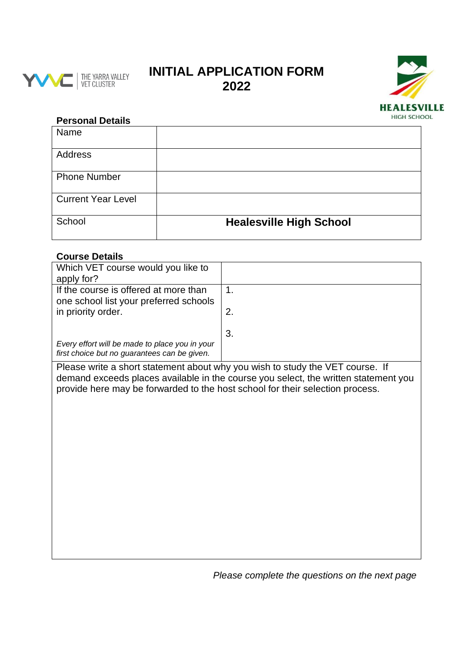

## **INITIAL APPLICATION FORM 2022**



## **Personal Details**

| Name                      |                                |
|---------------------------|--------------------------------|
| <b>Address</b>            |                                |
| <b>Phone Number</b>       |                                |
| <b>Current Year Level</b> |                                |
| School                    | <b>Healesville High School</b> |

## **Course Details**

| Which VET course would you like to                                                                                                                                   |    |  |
|----------------------------------------------------------------------------------------------------------------------------------------------------------------------|----|--|
| apply for?                                                                                                                                                           |    |  |
| If the course is offered at more than<br>one school list your preferred schools                                                                                      | 1. |  |
| in priority order.                                                                                                                                                   | 2. |  |
|                                                                                                                                                                      | 3. |  |
| Every effort will be made to place you in your<br>first choice but no guarantees can be given.                                                                       |    |  |
| Please write a short statement about why you wish to study the VET course. If<br>demand exceeds places available in the course you select, the written statement you |    |  |

provide here may be forwarded to the host school for their selection process.

*Please complete the questions on the next page*